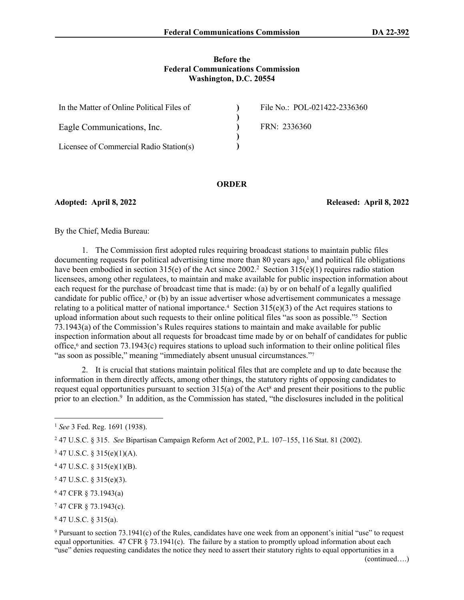#### **Before the Federal Communications Commission Washington, D.C. 20554**

| In the Matter of Online Political Files of | File No.: POL-021422-2336360 |
|--------------------------------------------|------------------------------|
|                                            |                              |
| Eagle Communications, Inc.                 | FRN: 2336360                 |
|                                            |                              |
| Licensee of Commercial Radio Station(s)    |                              |

#### **ORDER**

**Adopted: April 8, 2022 Released: April 8, 2022**

By the Chief, Media Bureau:

1. The Commission first adopted rules requiring broadcast stations to maintain public files  $d$ ocumenting requests for political advertising time more than 80 years ago,<sup>1</sup> and political file obligations have been embodied in section 315(e) of the Act since 2002.<sup>2</sup> Section 315(e)(1) requires radio station licensees, among other regulatees, to maintain and make available for public inspection information about each request for the purchase of broadcast time that is made: (a) by or on behalf of a legally qualified candidate for public office,<sup>3</sup> or (b) by an issue advertiser whose advertisement communicates a message relating to a political matter of national importance.<sup>4</sup> Section  $315(e)(3)$  of the Act requires stations to upload information about such requests to their online political files "as soon as possible."<sup>5</sup> Section 73.1943(a) of the Commission's Rules requires stations to maintain and make available for public inspection information about all requests for broadcast time made by or on behalf of candidates for public office,<sup>6</sup> and section 73.1943(c) requires stations to upload such information to their online political files "as soon as possible," meaning "immediately absent unusual circumstances."<sup>7</sup>

2. It is crucial that stations maintain political files that are complete and up to date because the information in them directly affects, among other things, the statutory rights of opposing candidates to request equal opportunities pursuant to section  $315(a)$  of the Act<sup>8</sup> and present their positions to the public prior to an election.<sup>9</sup> In addition, as the Commission has stated, "the disclosures included in the political

- $547$  U.S.C. § 315(e)(3).
- 6 47 CFR § 73.1943(a)
- 7 47 CFR § 73.1943(c).

8 47 U.S.C. § 315(a).

9 Pursuant to section 73.1941(c) of the Rules, candidates have one week from an opponent's initial "use" to request equal opportunities. 47 CFR  $\S$  73.1941(c). The failure by a station to promptly upload information about each "use" denies requesting candidates the notice they need to assert their statutory rights to equal opportunities in a

<sup>1</sup> *See* 3 Fed. Reg. 1691 (1938).

<sup>2</sup> 47 U.S.C. § 315. *See* Bipartisan Campaign Reform Act of 2002, P.L. 107–155, 116 Stat. 81 (2002).

 $347$  U.S.C. § 315(e)(1)(A).

 $447$  U.S.C. § 315(e)(1)(B).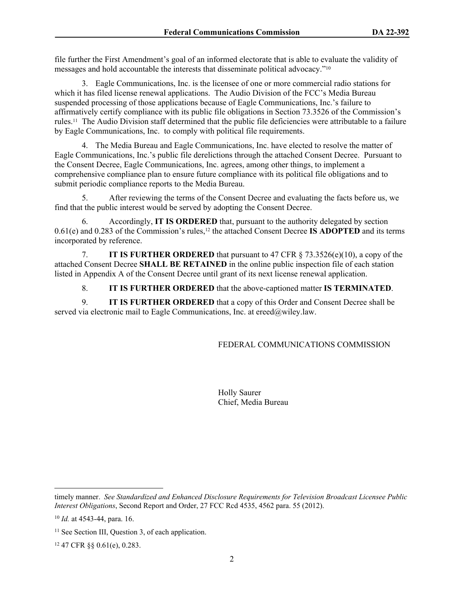file further the First Amendment's goal of an informed electorate that is able to evaluate the validity of messages and hold accountable the interests that disseminate political advocacy."<sup>10</sup>

3. Eagle Communications, Inc. is the licensee of one or more commercial radio stations for which it has filed license renewal applications. The Audio Division of the FCC's Media Bureau suspended processing of those applications because of Eagle Communications, Inc.'s failure to affirmatively certify compliance with its public file obligations in Section 73.3526 of the Commission's rules.11 The Audio Division staff determined that the public file deficiencies were attributable to a failure by Eagle Communications, Inc. to comply with political file requirements.

4. The Media Bureau and Eagle Communications, Inc. have elected to resolve the matter of Eagle Communications, Inc.'s public file derelictions through the attached Consent Decree. Pursuant to the Consent Decree, Eagle Communications, Inc. agrees, among other things, to implement a comprehensive compliance plan to ensure future compliance with its political file obligations and to submit periodic compliance reports to the Media Bureau.

5. After reviewing the terms of the Consent Decree and evaluating the facts before us, we find that the public interest would be served by adopting the Consent Decree.

6. Accordingly, **IT IS ORDERED** that, pursuant to the authority delegated by section 0.61(e) and 0.283 of the Commission's rules,12 the attached Consent Decree **IS ADOPTED** and its terms incorporated by reference.

7. **IT IS FURTHER ORDERED** that pursuant to 47 CFR § 73.3526(e)(10), a copy of the attached Consent Decree **SHALL BE RETAINED** in the online public inspection file of each station listed in Appendix A of the Consent Decree until grant of its next license renewal application.

8. **IT IS FURTHER ORDERED** that the above-captioned matter **IS TERMINATED**.

9. **IT IS FURTHER ORDERED** that a copy of this Order and Consent Decree shall be served via electronic mail to Eagle Communications, Inc. at ereed@wiley.law.

FEDERAL COMMUNICATIONS COMMISSION

Holly Saurer Chief, Media Bureau

timely manner. *See Standardized and Enhanced Disclosure Requirements for Television Broadcast Licensee Public Interest Obligations*, Second Report and Order, 27 FCC Rcd 4535, 4562 para. 55 (2012).

<sup>10</sup> *Id.* at 4543-44, para. 16.

<sup>&</sup>lt;sup>11</sup> See Section III, Question 3, of each application.

<sup>12</sup> 47 CFR §§ 0.61(e), 0.283.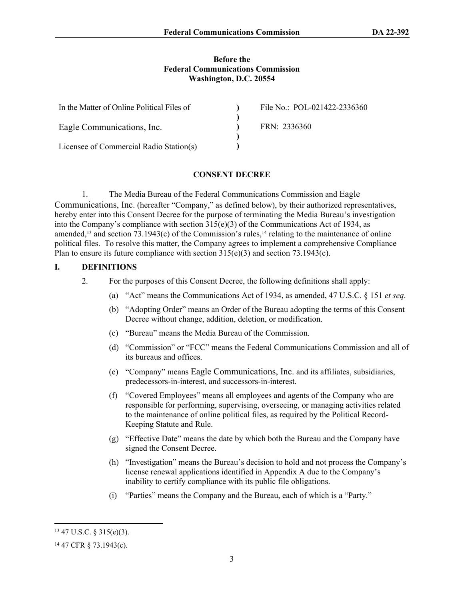#### **Before the Federal Communications Commission Washington, D.C. 20554**

| In the Matter of Online Political Files of | File No.: POL-021422-2336360 |
|--------------------------------------------|------------------------------|
|                                            |                              |
| Eagle Communications, Inc.                 | FRN: 2336360                 |
|                                            |                              |
| Licensee of Commercial Radio Station(s)    |                              |

## **CONSENT DECREE**

1. The Media Bureau of the Federal Communications Commission and Eagle Communications, Inc. (hereafter "Company," as defined below), by their authorized representatives, hereby enter into this Consent Decree for the purpose of terminating the Media Bureau's investigation into the Company's compliance with section  $315(e)(3)$  of the Communications Act of 1934, as amended,<sup>13</sup> and section 73.1943(c) of the Commission's rules,<sup>14</sup> relating to the maintenance of online political files. To resolve this matter, the Company agrees to implement a comprehensive Compliance Plan to ensure its future compliance with section 315(e)(3) and section 73.1943(c).

## **I. DEFINITIONS**

- 2. For the purposes of this Consent Decree, the following definitions shall apply:
	- (a) "Act" means the Communications Act of 1934, as amended, 47 U.S.C. § 151 *et seq*.
	- (b) "Adopting Order" means an Order of the Bureau adopting the terms of this Consent Decree without change, addition, deletion, or modification.
	- (c) "Bureau" means the Media Bureau of the Commission.
	- (d) "Commission" or "FCC" means the Federal Communications Commission and all of its bureaus and offices.
	- (e) "Company" means Eagle Communications, Inc. and its affiliates, subsidiaries, predecessors-in-interest, and successors-in-interest.
	- (f) "Covered Employees" means all employees and agents of the Company who are responsible for performing, supervising, overseeing, or managing activities related to the maintenance of online political files, as required by the Political Record-Keeping Statute and Rule.
	- (g) "Effective Date" means the date by which both the Bureau and the Company have signed the Consent Decree.
	- (h) "Investigation" means the Bureau's decision to hold and not process the Company's license renewal applications identified in Appendix A due to the Company's inability to certify compliance with its public file obligations.
	- (i) "Parties" means the Company and the Bureau, each of which is a "Party."

<sup>13</sup> 47 U.S.C. § 315(e)(3).

<sup>14</sup> 47 CFR § 73.1943(c).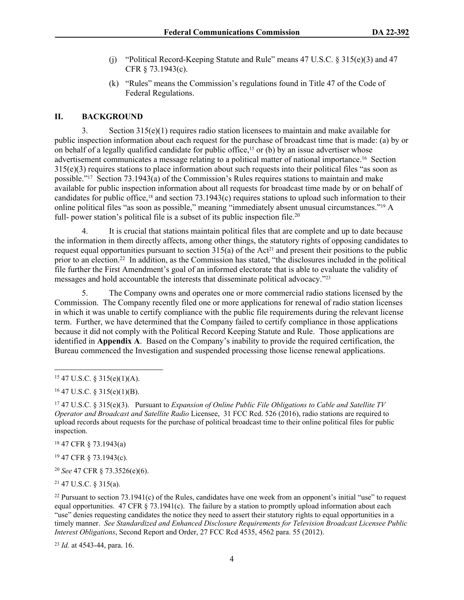- (j) "Political Record-Keeping Statute and Rule" means  $47 \text{ U.S.C. }$  §  $315(e)(3)$  and  $47$ CFR § 73.1943(c).
- (k) "Rules" means the Commission's regulations found in Title 47 of the Code of Federal Regulations.

# **II. BACKGROUND**

3. Section 315(e)(1) requires radio station licensees to maintain and make available for public inspection information about each request for the purchase of broadcast time that is made: (a) by or on behalf of a legally qualified candidate for public office,<sup>15</sup> or (b) by an issue advertiser whose advertisement communicates a message relating to a political matter of national importance.16 Section 315(e)(3) requires stations to place information about such requests into their political files "as soon as possible."17 Section 73.1943(a) of the Commission's Rules requires stations to maintain and make available for public inspection information about all requests for broadcast time made by or on behalf of candidates for public office,18 and section 73.1943(c) requires stations to upload such information to their online political files "as soon as possible," meaning "immediately absent unusual circumstances."19 A full- power station's political file is a subset of its public inspection file.<sup>20</sup>

4. It is crucial that stations maintain political files that are complete and up to date because the information in them directly affects, among other things, the statutory rights of opposing candidates to request equal opportunities pursuant to section  $315(a)$  of the Act<sup>21</sup> and present their positions to the public prior to an election.<sup>22</sup> In addition, as the Commission has stated, "the disclosures included in the political file further the First Amendment's goal of an informed electorate that is able to evaluate the validity of messages and hold accountable the interests that disseminate political advocacy."<sup>23</sup>

5. The Company owns and operates one or more commercial radio stations licensed by the Commission. The Company recently filed one or more applications for renewal of radio station licenses in which it was unable to certify compliance with the public file requirements during the relevant license term. Further, we have determined that the Company failed to certify compliance in those applications because it did not comply with the Political Record Keeping Statute and Rule. Those applications are identified in **Appendix A**. Based on the Company's inability to provide the required certification, the Bureau commenced the Investigation and suspended processing those license renewal applications.

<sup>18</sup> 47 CFR § 73.1943(a)

<sup>19</sup> 47 CFR § 73.1943(c).

<sup>20</sup> *See* 47 CFR § 73.3526(e)(6).

<sup>21</sup> 47 U.S.C. § 315(a).

<sup>23</sup> *Id.* at 4543-44, para. 16.

 $15$  47 U.S.C. § 315(e)(1)(A).

 $16$  47 U.S.C. § 315(e)(1)(B).

<sup>17</sup> 47 U.S.C. § 315(e)(3). Pursuant to *Expansion of Online Public File Obligations to Cable and Satellite TV Operator and Broadcast and Satellite Radio* Licensee, 31 FCC Rcd. 526 (2016), radio stations are required to upload records about requests for the purchase of political broadcast time to their online political files for public inspection.

<sup>&</sup>lt;sup>22</sup> Pursuant to section  $73.1941(c)$  of the Rules, candidates have one week from an opponent's initial "use" to request equal opportunities. 47 CFR  $\S$  73.1941(c). The failure by a station to promptly upload information about each "use" denies requesting candidates the notice they need to assert their statutory rights to equal opportunities in a timely manner. *See Standardized and Enhanced Disclosure Requirements for Television Broadcast Licensee Public Interest Obligations*, Second Report and Order, 27 FCC Rcd 4535, 4562 para. 55 (2012).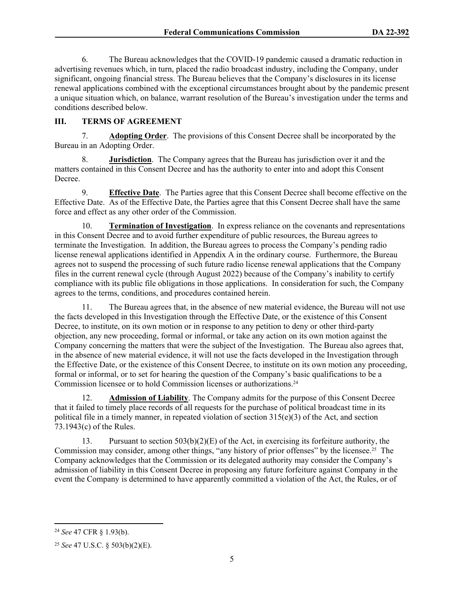6. The Bureau acknowledges that the COVID-19 pandemic caused a dramatic reduction in advertising revenues which, in turn, placed the radio broadcast industry, including the Company, under significant, ongoing financial stress. The Bureau believes that the Company's disclosures in its license renewal applications combined with the exceptional circumstances brought about by the pandemic present a unique situation which, on balance, warrant resolution of the Bureau's investigation under the terms and conditions described below.

# **III. TERMS OF AGREEMENT**

7. **Adopting Order**.The provisions of this Consent Decree shall be incorporated by the Bureau in an Adopting Order.

8. **Jurisdiction**. The Company agrees that the Bureau has jurisdiction over it and the matters contained in this Consent Decree and has the authority to enter into and adopt this Consent Decree.

9. **Effective Date**. The Parties agree that this Consent Decree shall become effective on the Effective Date. As of the Effective Date, the Parties agree that this Consent Decree shall have the same force and effect as any other order of the Commission.

10. **Termination of Investigation**.In express reliance on the covenants and representations in this Consent Decree and to avoid further expenditure of public resources, the Bureau agrees to terminate the Investigation. In addition, the Bureau agrees to process the Company's pending radio license renewal applications identified in Appendix A in the ordinary course. Furthermore, the Bureau agrees not to suspend the processing of such future radio license renewal applications that the Company files in the current renewal cycle (through August 2022) because of the Company's inability to certify compliance with its public file obligations in those applications. In consideration for such, the Company agrees to the terms, conditions, and procedures contained herein.

11. The Bureau agrees that, in the absence of new material evidence, the Bureau will not use the facts developed in this Investigation through the Effective Date, or the existence of this Consent Decree, to institute, on its own motion or in response to any petition to deny or other third-party objection, any new proceeding, formal or informal, or take any action on its own motion against the Company concerning the matters that were the subject of the Investigation. The Bureau also agrees that, in the absence of new material evidence, it will not use the facts developed in the Investigation through the Effective Date, or the existence of this Consent Decree, to institute on its own motion any proceeding, formal or informal, or to set for hearing the question of the Company's basic qualifications to be a Commission licensee or to hold Commission licenses or authorizations.<sup>24</sup>

12. **Admission of Liability**. The Company admits for the purpose of this Consent Decree that it failed to timely place records of all requests for the purchase of political broadcast time in its political file in a timely manner, in repeated violation of section 315(e)(3) of the Act, and section 73.1943(c) of the Rules.

13. Pursuant to section  $503(b)(2)(E)$  of the Act, in exercising its forfeiture authority, the Commission may consider, among other things, "any history of prior offenses" by the licensee.25 The Company acknowledges that the Commission or its delegated authority may consider the Company's admission of liability in this Consent Decree in proposing any future forfeiture against Company in the event the Company is determined to have apparently committed a violation of the Act, the Rules, or of

<sup>24</sup> *See* 47 CFR § 1.93(b).

<sup>25</sup> *See* 47 U.S.C. § 503(b)(2)(E).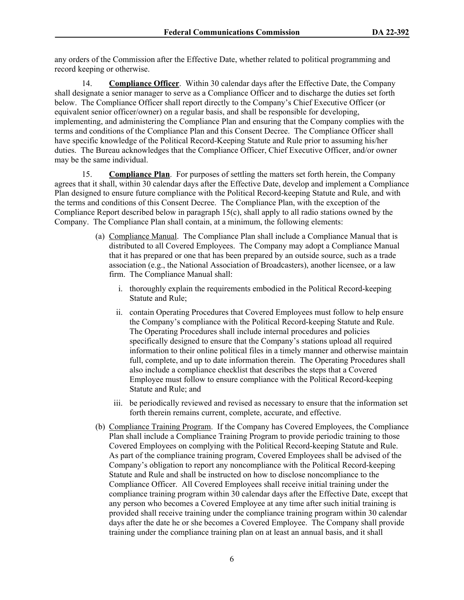any orders of the Commission after the Effective Date, whether related to political programming and record keeping or otherwise.

14. **Compliance Officer**. Within 30 calendar days after the Effective Date, the Company shall designate a senior manager to serve as a Compliance Officer and to discharge the duties set forth below. The Compliance Officer shall report directly to the Company's Chief Executive Officer (or equivalent senior officer/owner) on a regular basis, and shall be responsible for developing, implementing, and administering the Compliance Plan and ensuring that the Company complies with the terms and conditions of the Compliance Plan and this Consent Decree. The Compliance Officer shall have specific knowledge of the Political Record-Keeping Statute and Rule prior to assuming his/her duties. The Bureau acknowledges that the Compliance Officer, Chief Executive Officer, and/or owner may be the same individual.

15. **Compliance Plan**. For purposes of settling the matters set forth herein, the Company agrees that it shall, within 30 calendar days after the Effective Date, develop and implement a Compliance Plan designed to ensure future compliance with the Political Record-keeping Statute and Rule, and with the terms and conditions of this Consent Decree. The Compliance Plan, with the exception of the Compliance Report described below in paragraph 15(c), shall apply to all radio stations owned by the Company. The Compliance Plan shall contain, at a minimum, the following elements:

- (a) Compliance Manual. The Compliance Plan shall include a Compliance Manual that is distributed to all Covered Employees. The Company may adopt a Compliance Manual that it has prepared or one that has been prepared by an outside source, such as a trade association (e.g., the National Association of Broadcasters), another licensee, or a law firm. The Compliance Manual shall:
	- i. thoroughly explain the requirements embodied in the Political Record-keeping Statute and Rule;
	- ii. contain Operating Procedures that Covered Employees must follow to help ensure the Company's compliance with the Political Record-keeping Statute and Rule. The Operating Procedures shall include internal procedures and policies specifically designed to ensure that the Company's stations upload all required information to their online political files in a timely manner and otherwise maintain full, complete, and up to date information therein. The Operating Procedures shall also include a compliance checklist that describes the steps that a Covered Employee must follow to ensure compliance with the Political Record-keeping Statute and Rule; and
	- iii. be periodically reviewed and revised as necessary to ensure that the information set forth therein remains current, complete, accurate, and effective.
- (b) Compliance Training Program. If the Company has Covered Employees, the Compliance Plan shall include a Compliance Training Program to provide periodic training to those Covered Employees on complying with the Political Record-keeping Statute and Rule. As part of the compliance training program, Covered Employees shall be advised of the Company's obligation to report any noncompliance with the Political Record-keeping Statute and Rule and shall be instructed on how to disclose noncompliance to the Compliance Officer. All Covered Employees shall receive initial training under the compliance training program within 30 calendar days after the Effective Date, except that any person who becomes a Covered Employee at any time after such initial training is provided shall receive training under the compliance training program within 30 calendar days after the date he or she becomes a Covered Employee. The Company shall provide training under the compliance training plan on at least an annual basis, and it shall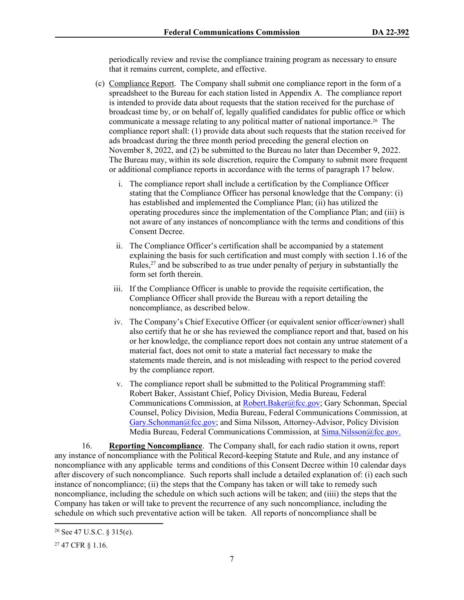periodically review and revise the compliance training program as necessary to ensure that it remains current, complete, and effective.

- (c) Compliance Report. The Company shall submit one compliance report in the form of a spreadsheet to the Bureau for each station listed in Appendix A. The compliance report is intended to provide data about requests that the station received for the purchase of broadcast time by, or on behalf of, legally qualified candidates for public office or which communicate a message relating to any political matter of national importance.26 The compliance report shall: (1) provide data about such requests that the station received for ads broadcast during the three month period preceding the general election on November 8, 2022, and (2) be submitted to the Bureau no later than December 9, 2022. The Bureau may, within its sole discretion, require the Company to submit more frequent or additional compliance reports in accordance with the terms of paragraph 17 below.
	- i. The compliance report shall include a certification by the Compliance Officer stating that the Compliance Officer has personal knowledge that the Company: (i) has established and implemented the Compliance Plan; (ii) has utilized the operating procedures since the implementation of the Compliance Plan; and (iii) is not aware of any instances of noncompliance with the terms and conditions of this Consent Decree.
	- ii. The Compliance Officer's certification shall be accompanied by a statement explaining the basis for such certification and must comply with section 1.16 of the Rules, $^{27}$  and be subscribed to as true under penalty of perjury in substantially the form set forth therein.
	- iii. If the Compliance Officer is unable to provide the requisite certification, the Compliance Officer shall provide the Bureau with a report detailing the noncompliance, as described below.
	- iv. The Company's Chief Executive Officer (or equivalent senior officer/owner) shall also certify that he or she has reviewed the compliance report and that, based on his or her knowledge, the compliance report does not contain any untrue statement of a material fact, does not omit to state a material fact necessary to make the statements made therein, and is not misleading with respect to the period covered by the compliance report.
	- v. The compliance report shall be submitted to the Political Programming staff: Robert Baker, Assistant Chief, Policy Division, Media Bureau, Federal Communications Commission, at [Robert.Baker@fcc.gov](mailto:Robert.Baker@fcc.gov); Gary Schonman, Special Counsel, Policy Division, Media Bureau, Federal Communications Commission, at [Gary.Schonman@fcc.gov;](mailto:Gary.Schonman@fcc.gov) and Sima Nilsson, Attorney-Advisor, Policy Division Media Bureau, Federal Communications Commission, at [Sima.Nilsson@fcc.gov.](file://fccnet/data/Bureaus-Offices/MB/Policy/MB/Policy/POLITICAL%20PROGRAMMING/COMPLAINTS%20AND%20PETITIONS%20FOR%20RULEMAKING%20&%20DECLARATORY%20RULINGS/POLITICAL%20FILES%20-%20GROUP%20OWNERS/Consent%20Decrees/Entercom/Sima.Nilsson@fcc.gov.)

16. **Reporting Noncompliance**. The Company shall, for each radio station it owns, report any instance of noncompliance with the Political Record-keeping Statute and Rule, and any instance of noncompliance with any applicable terms and conditions of this Consent Decree within 10 calendar days after discovery of such noncompliance. Such reports shall include a detailed explanation of: (i) each such instance of noncompliance; (ii) the steps that the Company has taken or will take to remedy such noncompliance, including the schedule on which such actions will be taken; and (iiii) the steps that the Company has taken or will take to prevent the recurrence of any such noncompliance, including the schedule on which such preventative action will be taken. All reports of noncompliance shall be

<sup>26</sup> See 47 U.S.C. § 315(e).

<sup>27</sup> 47 CFR § 1.16.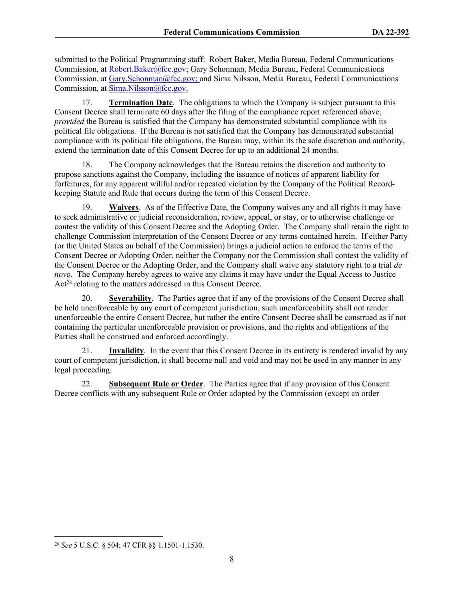submitted to the Political Programming staff: Robert Baker, Media Bureau, Federal Communications Commission, at [Robert.Baker@fcc.gov;](mailto:Robert.Baker@fcc.gov) Gary Schonman, Media Bureau, Federal Communications Commission, at [Gary.Schonman@fcc.gov;](mailto:Gary.Schonman@fcc.gov) and Sima Nilsson, Media Bureau, Federal Communications Commission, at [Sima.Nilsson@fcc.gov.](file://fccnet/data/Bureaus-Offices/MB/Policy/MB/Policy/POLITICAL%20PROGRAMMING/COMPLAINTS%20AND%20PETITIONS%20FOR%20RULEMAKING%20&%20DECLARATORY%20RULINGS/POLITICAL%20FILES%20-%20GROUP%20OWNERS/Consent%20Decrees/Entercom/Sima.Nilsson@fcc.gov.)

17. **Termination Date**. The obligations to which the Company is subject pursuant to this Consent Decree shall terminate 60 days after the filing of the compliance report referenced above, *provided* the Bureau is satisfied that the Company has demonstrated substantial compliance with its political file obligations. If the Bureau is not satisfied that the Company has demonstrated substantial compliance with its political file obligations, the Bureau may, within its the sole discretion and authority, extend the termination date of this Consent Decree for up to an additional 24 months.

18. The Company acknowledges that the Bureau retains the discretion and authority to propose sanctions against the Company, including the issuance of notices of apparent liability for forfeitures, for any apparent willful and/or repeated violation by the Company of the Political Recordkeeping Statute and Rule that occurs during the term of this Consent Decree.

19. **Waivers**. As of the Effective Date, the Company waives any and all rights it may have to seek administrative or judicial reconsideration, review, appeal, or stay, or to otherwise challenge or contest the validity of this Consent Decree and the Adopting Order. The Company shall retain the right to challenge Commission interpretation of the Consent Decree or any terms contained herein. If either Party (or the United States on behalf of the Commission) brings a judicial action to enforce the terms of the Consent Decree or Adopting Order, neither the Company nor the Commission shall contest the validity of the Consent Decree or the Adopting Order, and the Company shall waive any statutory right to a trial *de novo*. The Company hereby agrees to waive any claims it may have under the Equal Access to Justice Act<sup>28</sup> relating to the matters addressed in this Consent Decree.

20. **Severability**. The Parties agree that if any of the provisions of the Consent Decree shall be held unenforceable by any court of competent jurisdiction, such unenforceability shall not render unenforceable the entire Consent Decree, but rather the entire Consent Decree shall be construed as if not containing the particular unenforceable provision or provisions, and the rights and obligations of the Parties shall be construed and enforced accordingly.

21. **Invalidity**. In the event that this Consent Decree in its entirety is rendered invalid by any court of competent jurisdiction, it shall become null and void and may not be used in any manner in any legal proceeding.

22. **Subsequent Rule or Order**. The Parties agree that if any provision of this Consent Decree conflicts with any subsequent Rule or Order adopted by the Commission (except an order

<sup>28</sup> *See* 5 U.S.C. § 504; 47 CFR §§ 1.1501-1.1530.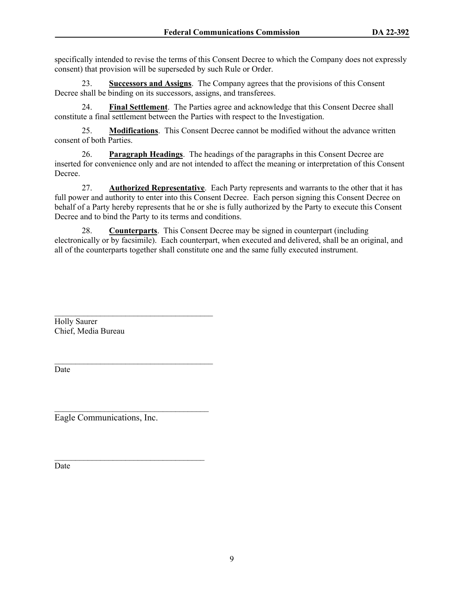specifically intended to revise the terms of this Consent Decree to which the Company does not expressly consent) that provision will be superseded by such Rule or Order.

23. **Successors and Assigns**.The Company agrees that the provisions of this Consent Decree shall be binding on its successors, assigns, and transferees.

24. **Final Settlement**. The Parties agree and acknowledge that this Consent Decree shall constitute a final settlement between the Parties with respect to the Investigation.

25. **Modifications**. This Consent Decree cannot be modified without the advance written consent of both Parties.

26. **Paragraph Headings**. The headings of the paragraphs in this Consent Decree are inserted for convenience only and are not intended to affect the meaning or interpretation of this Consent Decree.

27. **Authorized Representative**. Each Party represents and warrants to the other that it has full power and authority to enter into this Consent Decree. Each person signing this Consent Decree on behalf of a Party hereby represents that he or she is fully authorized by the Party to execute this Consent Decree and to bind the Party to its terms and conditions.

28. **Counterparts**. This Consent Decree may be signed in counterpart (including electronically or by facsimile). Each counterpart, when executed and delivered, shall be an original, and all of the counterparts together shall constitute one and the same fully executed instrument.

Holly Saurer Chief, Media Bureau

Date

Eagle Communications, Inc.

 $\mathcal{L}_\text{max}$ 

 $\mathcal{L}_\text{max}$  and  $\mathcal{L}_\text{max}$  and  $\mathcal{L}_\text{max}$  and  $\mathcal{L}_\text{max}$ 

 $\mathcal{L}_\text{max}$ 

Date